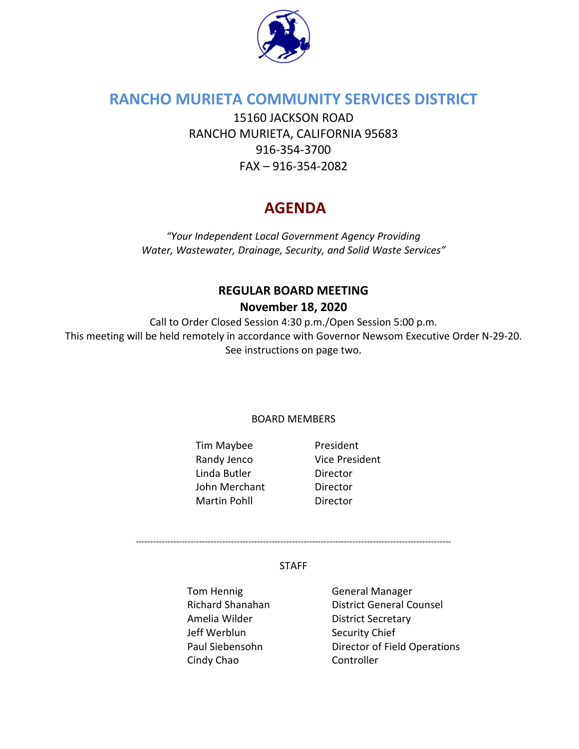

## **RANCHO MURIETA COMMUNITY SERVICES DISTRICT**

15160 JACKSON ROAD RANCHO MURIETA, CALIFORNIA 95683 916-354-3700 FAX – 916-354-2082

# **AGENDA**

*"Your Independent Local Government Agency Providing Water, Wastewater, Drainage, Security, and Solid Waste Services"* 

## **REGULAR BOARD MEETING November 18, 2020**

Call to Order Closed Session 4:30 p.m./Open Session 5:00 p.m. This meeting will be held remotely in accordance with Governor Newsom Executive Order N-29-20. See instructions on page two.

BOARD MEMBERS

Tim Maybee President Randy Jenco Vice President Linda Butler Director John Merchant Director Martin Pohll **Director** 

-------------------------------------------------------------------------------------------------------------

#### STAFF

Tom Hennig Tom General Manager Amelia Wilder District Secretary Jeff Werblun Security Chief Cindy Chao Controller

Richard Shanahan District General Counsel Paul Siebensohn Director of Field Operations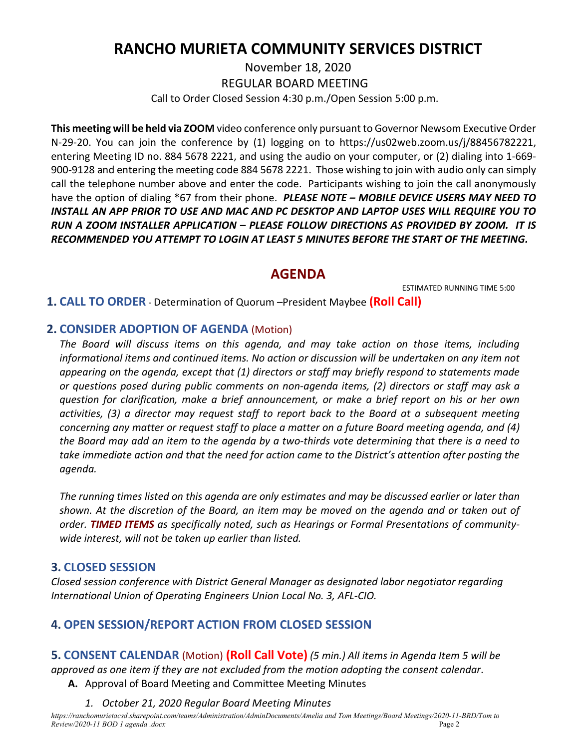## **RANCHO MURIETA COMMUNITY SERVICES DISTRICT**

November 18, 2020 REGULAR BOARD MEETING Call to Order Closed Session 4:30 p.m./Open Session 5:00 p.m.

**This meeting will be held via ZOOM** video conference only pursuant to Governor Newsom Executive Order N-29-20. You can join the conference by (1) logging on to https://us02web.zoom.us/j/88456782221, entering Meeting ID no. 884 5678 2221, and using the audio on your computer, or (2) dialing into 1-669- 900-9128 and entering the meeting code 884 5678 2221. Those wishing to join with audio only can simply call the telephone number above and enter the code. Participants wishing to join the call anonymously have the option of dialing \*67 from their phone. *PLEASE NOTE – MOBILE DEVICE USERS MAY NEED TO INSTALL AN APP PRIOR TO USE AND MAC AND PC DESKTOP AND LAPTOP USES WILL REQUIRE YOU TO RUN A ZOOM INSTALLER APPLICATION – PLEASE FOLLOW DIRECTIONS AS PROVIDED BY ZOOM. IT IS RECOMMENDED YOU ATTEMPT TO LOGIN AT LEAST 5 MINUTES BEFORE THE START OF THE MEETING.*

## **AGENDA**

ESTIMATED RUNNING TIME 5:00

**1. CALL TO ORDER** - Determination of Quorum –President Maybee **(Roll Call)**

### **2. CONSIDER ADOPTION OF AGENDA** (Motion)

*The Board will discuss items on this agenda, and may take action on those items, including informational items and continued items. No action or discussion will be undertaken on any item not appearing on the agenda, except that (1) directors or staff may briefly respond to statements made or questions posed during public comments on non-agenda items, (2) directors or staff may ask a question for clarification, make a brief announcement, or make a brief report on his or her own activities, (3) a director may request staff to report back to the Board at a subsequent meeting concerning any matter or request staff to place a matter on a future Board meeting agenda, and (4) the Board may add an item to the agenda by a two-thirds vote determining that there is a need to take immediate action and that the need for action came to the District's attention after posting the agenda.*

*The running times listed on this agenda are only estimates and may be discussed earlier or later than shown. At the discretion of the Board, an item may be moved on the agenda and or taken out of order. TIMED ITEMS as specifically noted, such as Hearings or Formal Presentations of communitywide interest, will not be taken up earlier than listed.*

## **3. CLOSED SESSION**

*Closed session conference with District General Manager as designated labor negotiator regarding International Union of Operating Engineers Union Local No. 3, AFL-CIO.*

## **4. OPEN SESSION/REPORT ACTION FROM CLOSED SESSION**

**5. CONSENT CALENDAR** (Motion) **(Roll Call Vote)** *(5 min.) All items in Agenda Item 5 will be approved as one item if they are not excluded from the motion adopting the consent calendar*.

- **A.** Approval of Board Meeting and Committee Meeting Minutes
	- *1. October 21, 2020 Regular Board Meeting Minutes*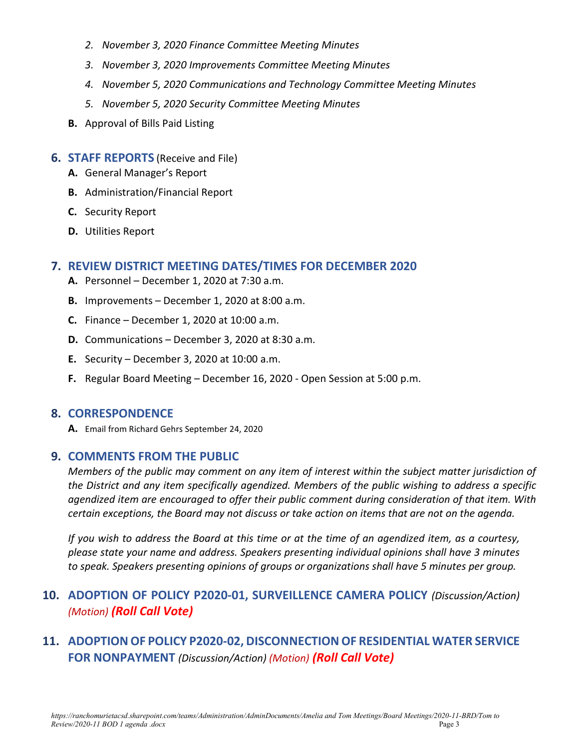- *2. November 3, 2020 Finance Committee Meeting Minutes*
- *3. November 3, 2020 Improvements Committee Meeting Minutes*
- *4. November 5, 2020 Communications and Technology Committee Meeting Minutes*
- *5. November 5, 2020 Security Committee Meeting Minutes*
- **B.** Approval of Bills Paid Listing

#### **6. STAFF REPORTS** (Receive and File)

- **A.** General Manager's Report
- **B.** Administration/Financial Report
- **C.** Security Report
- **D.** Utilities Report

#### **7. REVIEW DISTRICT MEETING DATES/TIMES FOR DECEMBER 2020**

- **A.** Personnel December 1, 2020 at 7:30 a.m.
- **B.** Improvements December 1, 2020 at 8:00 a.m.
- **C.** Finance December 1, 2020 at 10:00 a.m.
- **D.** Communications December 3, 2020 at 8:30 a.m.
- **E.** Security December 3, 2020 at 10:00 a.m.
- **F.** Regular Board Meeting December 16, 2020 Open Session at 5:00 p.m.

#### **8. CORRESPONDENCE**

**A.** Email from Richard Gehrs September 24, 2020

#### **9. COMMENTS FROM THE PUBLIC**

*Members of the public may comment on any item of interest within the subject matter jurisdiction of the District and any item specifically agendized. Members of the public wishing to address a specific agendized item are encouraged to offer their public comment during consideration of that item. With certain exceptions, the Board may not discuss or take action on items that are not on the agenda.* 

*If you wish to address the Board at this time or at the time of an agendized item, as a courtesy, please state your name and address. Speakers presenting individual opinions shall have 3 minutes to speak. Speakers presenting opinions of groups or organizations shall have 5 minutes per group.*

## **10. ADOPTION OF POLICY P2020-01, SURVEILLENCE CAMERA POLICY** *(Discussion/Action) (Motion) (Roll Call Vote)*

## **11. ADOPTION OF POLICY P2020-02, DISCONNECTION OF RESIDENTIAL WATER SERVICE FOR NONPAYMENT** *(Discussion/Action) (Motion) (Roll Call Vote)*